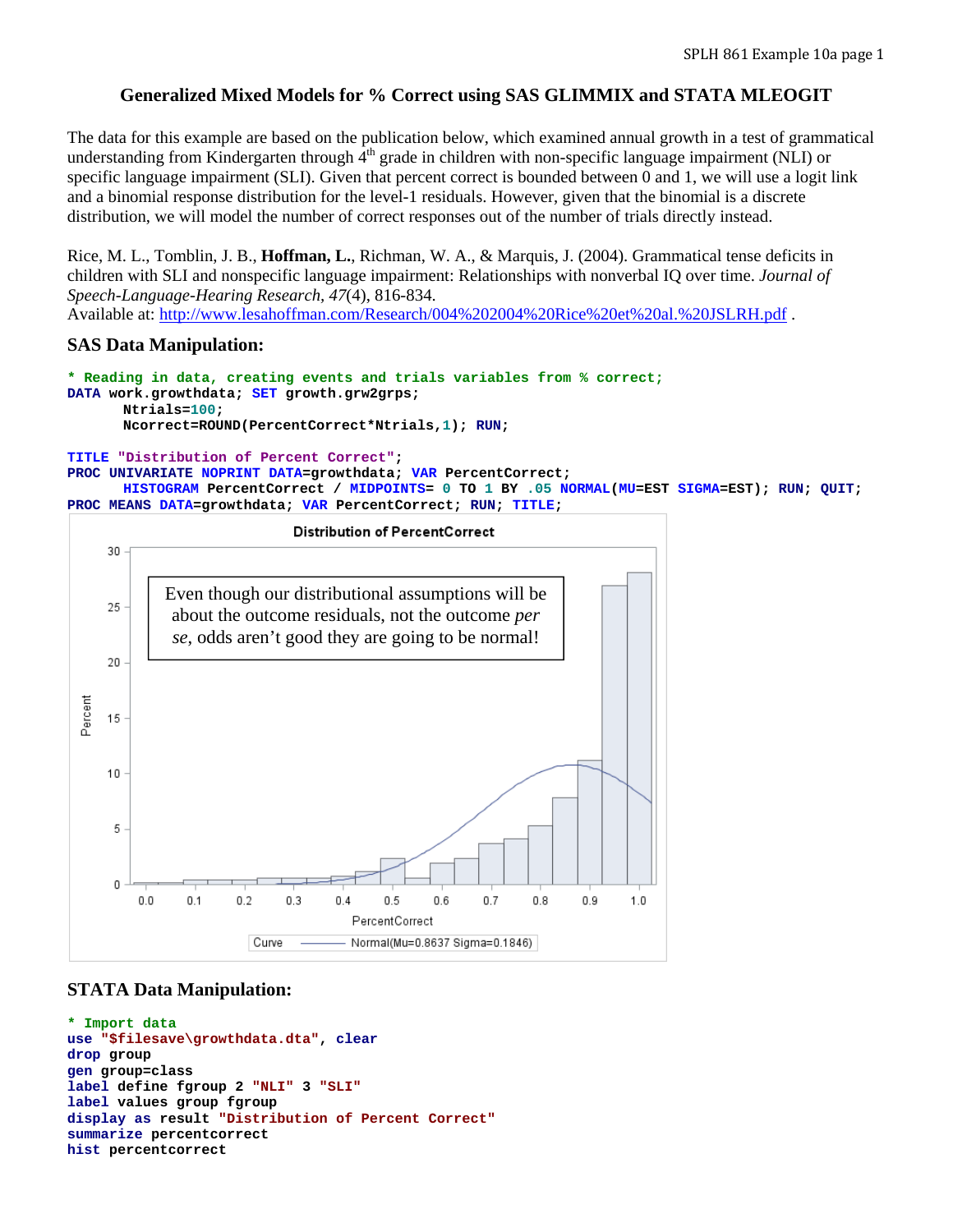## **Generalized Mixed Models for % Correct using SAS GLIMMIX and STATA MLEOGIT**

The data for this example are based on the publication below, which examined annual growth in a test of grammatical understanding from Kindergarten through  $4<sup>th</sup>$  grade in children with non-specific language impairment (NLI) or specific language impairment (SLI). Given that percent correct is bounded between 0 and 1, we will use a logit link and a binomial response distribution for the level-1 residuals. However, given that the binomial is a discrete distribution, we will model the number of correct responses out of the number of trials directly instead.

Rice, M. L., Tomblin, J. B., **Hoffman, L.**, Richman, W. A., & Marquis, J. (2004). Grammatical tense deficits in children with SLI and nonspecific language impairment: Relationships with nonverbal IQ over time. *Journal of Speech-Language-Hearing Research, 47*(4), 816-834. Available at: http://www.lesahoffman.com/Research/004%202004%20Rice%20et%20al.%20JSLRH.pdf .

### **SAS Data Manipulation:**

```
* Reading in data, creating events and trials variables from % correct; 
DATA work.growthdata; SET growth.grw2grps; 
       Ntrials=100; 
       Ncorrect=ROUND(PercentCorrect*Ntrials,1); RUN;
```
#### **TITLE "Distribution of Percent Correct";**

```
PROC UNIVARIATE NOPRINT DATA=growthdata; VAR PercentCorrect; 
      HISTOGRAM PercentCorrect / MIDPOINTS= 0 TO 1 BY .05 NORMAL(MU=EST SIGMA=EST); RUN; QUIT; 
PROC MEANS DATA=growthdata; VAR PercentCorrect; RUN; TITLE;
```


### **STATA Data Manipulation:**

```
* Import data 
use "$filesave\growthdata.dta", clear
drop group 
gen group=class 
label define fgroup 2 "NLI" 3 "SLI"
label values group fgroup 
display as result "Distribution of Percent Correct"
summarize percentcorrect 
hist percentcorrect
```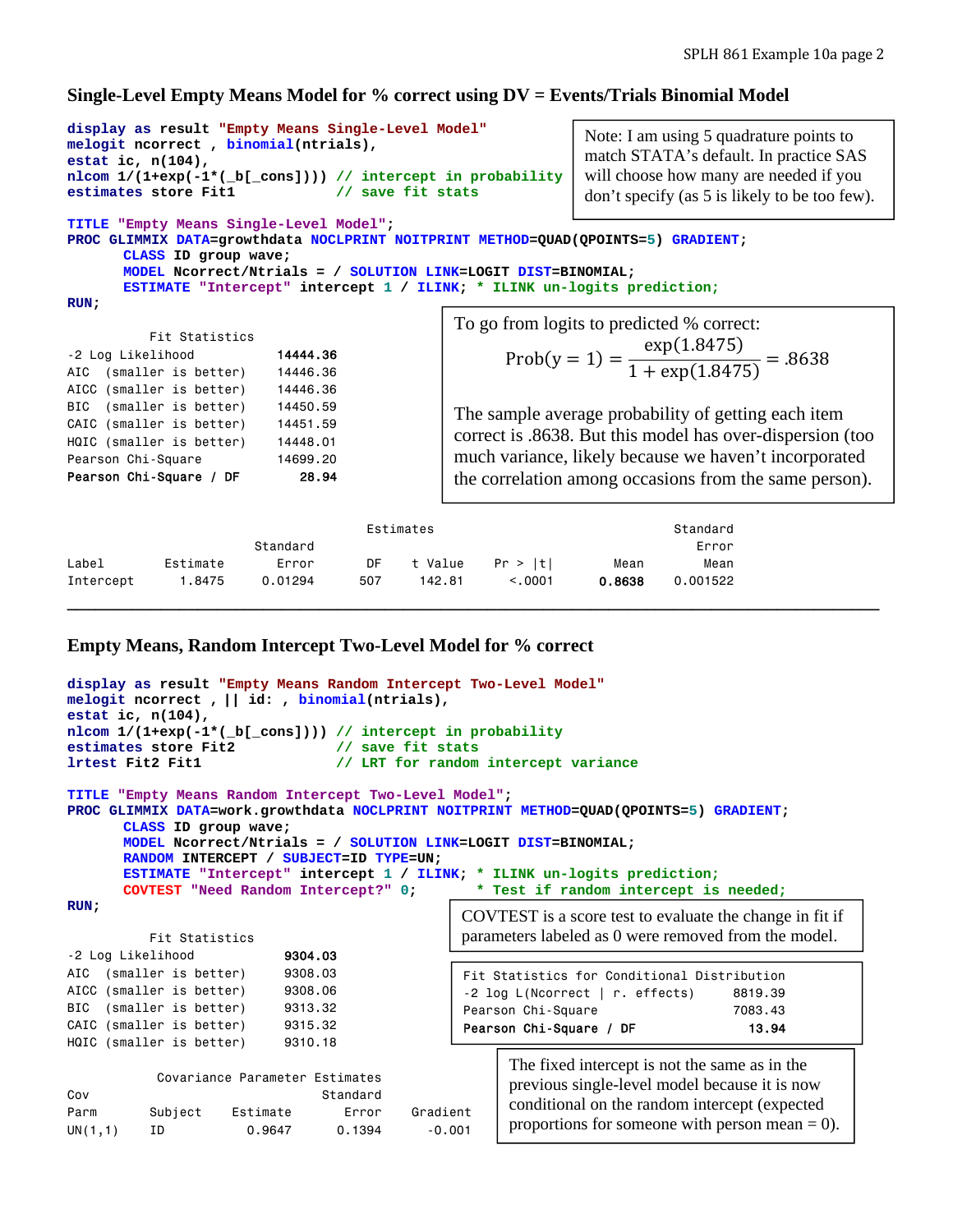#### **Single-Level Empty Means Model for % correct using DV = Events/Trials Binomial Model**

```
display as result "Empty Means Single-Level Model"
melogit ncorrect , binomial(ntrials), 
estat ic, n(104), 
nlcom 1/(1+exp(-1*(_b[_cons]))) // intercept in probability
estimates store Fit1 // save fit stats
TITLE "Empty Means Single-Level Model"; 
PROC GLIMMIX DATA=growthdata NOCLPRINT NOITPRINT METHOD=QUAD(QPOINTS=5) GRADIENT; 
       CLASS ID group wave; 
       MODEL Ncorrect/Ntrials = / SOLUTION LINK=LOGIT DIST=BINOMIAL; 
       ESTIMATE "Intercept" intercept 1 / ILINK; * ILINK un-logits prediction;
RUN; 
            Fit Statistics 
-2 Log Likelihood 14444.36
AIC (smaller is better) 14446.36 
AICC (smaller is better) 14446.36 
BIC (smaller is better) 14450.59 
CAIC (smaller is better) 14451.59 
HQIC (smaller is better) 14448.01 
Pearson Chi-Square 14699.20
Pearson Chi-Square / DF 28.94
                                                  To go from logits to predicted % correct: 
                                                         Prob(y = 1) = \frac{\exp(1.8475)}{1.1 \cdot \frac{(1.9475)}{1.947}}\frac{e_1}{1 + \exp(1.8475)} = .8638The sample average probability of getting each item 
                                                  correct is .8638. But this model has over-dispersion (too 
                                                  much variance, likely because we haven't incorporated 
                                                  the correlation among occasions from the same person).
                                                                   Note: I am using 5 quadrature points to 
                                                                   match STATA's default. In practice SAS 
                                                                   will choose how many are needed if you 
                                                                   don't specify (as 5 is likely to be too few).
```

|           |          |          | Estimates |         | Standard |        |          |
|-----------|----------|----------|-----------|---------|----------|--------|----------|
|           |          | Standard |           |         |          |        | Error    |
| Label     | Estimate | Error    | DF        | t Value | Pr >  t  | Mean   | Mean     |
| Intercept | .8475    | 0.01294  | 507       | 142.81  | < 0.001  | 0.8638 | 0.001522 |
|           |          |          |           |         |          |        |          |

### **Empty Means, Random Intercept Two-Level Model for % correct**

```
display as result "Empty Means Random Intercept Two-Level Model" 
melogit ncorrect , || id: , binomial(ntrials), 
estat ic, n(104), 
nlcom 1/(1+exp(-1*(_b[_cons]))) // intercept in probability
estimates store Fit2 // save fit stats 
lrtest Fit2 Fit1 // LRT for random intercept variance
TITLE "Empty Means Random Intercept Two-Level Model"; 
PROC GLIMMIX DATA=work.growthdata NOCLPRINT NOITPRINT METHOD=QUAD(QPOINTS=5) GRADIENT; 
      CLASS ID group wave; 
      MODEL Ncorrect/Ntrials = / SOLUTION LINK=LOGIT DIST=BINOMIAL; 
      RANDOM INTERCEPT / SUBJECT=ID TYPE=UN; 
      ESTIMATE "Intercept" intercept 1 / ILINK; * ILINK un-logits prediction;
      COVTEST "Need Random Intercept?" 0; * Test if random intercept is needed;
RUN; 
          Fit Statistics 
-2 Log Likelihood 9304.03
AIC (smaller is better) 9308.03
AICC (smaller is better) 9308.06
BIC (smaller is better) 9313.32
CAIC (smaller is better) 9315.32 
HQIC (smaller is better) 9310.18 
           Covariance Parameter Estimates 
Cov Standard
Parm Subject Estimate Error Gradient 
UN(1,1) ID 0.9647 0.1394 -0.001 
                                                    The fixed intercept is not the same as in the 
                                                    previous single-level model because it is now 
                                                    conditional on the random intercept (expected 
                                                    proportions for someone with person mean = 0).
                                              COVTEST is a score test to evaluate the change in fit if 
                                              parameters labeled as 0 were removed from the model. 
                                              Fit Statistics for Conditional Distribution 
                                               -2 log L(Ncorrect | r. effects) 8819.39
                                              Pearson Chi-Square 7083.43
                                              Pearson Chi-Square / DF 13.94
```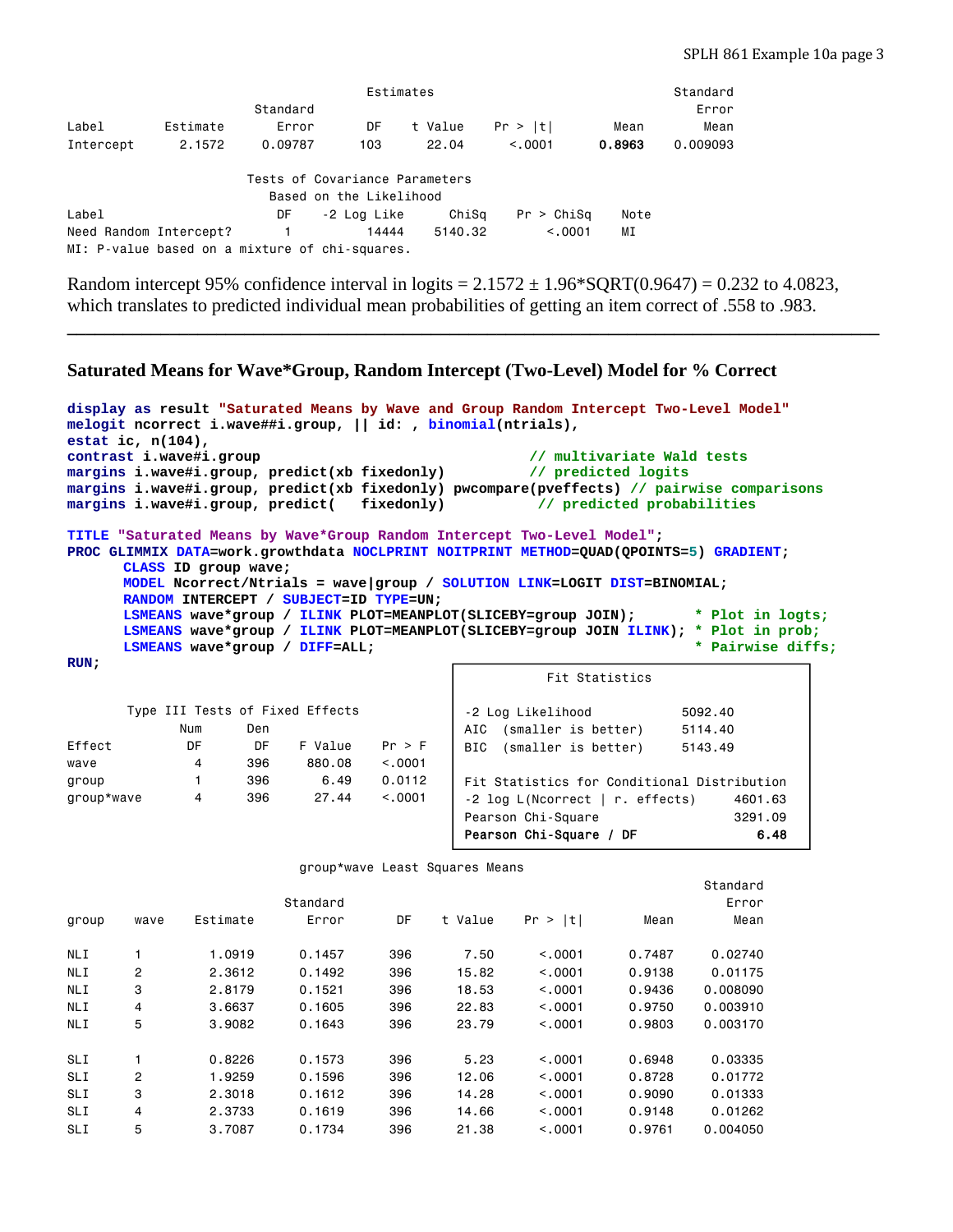| Estimates                                      |          |          |                                |         |            |        |          |  |
|------------------------------------------------|----------|----------|--------------------------------|---------|------------|--------|----------|--|
|                                                |          | Standard |                                |         |            |        | Error    |  |
| Label                                          | Estimate | Error    | DF                             | t Value | Pr >  t    | Mean   | Mean     |  |
| Intercept                                      | 2.1572   | 0.09787  | 103                            | 22.04   | < 0.001    | 0.8963 | 0.009093 |  |
|                                                |          |          |                                |         |            |        |          |  |
|                                                |          |          | Tests of Covariance Parameters |         |            |        |          |  |
|                                                |          |          | Based on the Likelihood        |         |            |        |          |  |
| Label                                          |          | DF       | -2 Log Like                    | ChiSa   | Pr > Chisq | Note   |          |  |
| Need Random Intercept?                         |          |          | 14444                          | 5140.32 | < 0.001    | ΜI     |          |  |
| MI: P-value based on a mixture of chi-squares. |          |          |                                |         |            |        |          |  |

Random intercept 95% confidence interval in logits =  $2.1572 \pm 1.96***SQRT**(0.9647) = 0.232$  to 4.0823, which translates to predicted individual mean probabilities of getting an item correct of .558 to .983.

**\_\_\_\_\_\_\_\_\_\_\_\_\_\_\_\_\_\_\_\_\_\_\_\_\_\_\_\_\_\_\_\_\_\_\_\_\_\_\_\_\_\_\_\_\_\_\_\_\_\_\_\_\_\_\_\_\_\_\_\_\_\_\_\_\_\_\_\_\_\_\_\_\_\_\_\_\_\_\_\_\_\_\_\_\_\_\_** 

# **Saturated Means for Wave\*Group, Random Intercept (Two-Level) Model for % Correct**

|        |                                                               |     |         |        |     | display as result "Saturated Means by Wave and Group Random Intercept Two-Level Model" |                                                                                            |  |
|--------|---------------------------------------------------------------|-----|---------|--------|-----|----------------------------------------------------------------------------------------|--------------------------------------------------------------------------------------------|--|
|        | melogit ncorrect i.wave##i.group,    id: , binomial(ntrials), |     |         |        |     |                                                                                        |                                                                                            |  |
|        | estat ic, $n(104)$ ,                                          |     |         |        |     |                                                                                        |                                                                                            |  |
|        | contrast i.wave#i.group                                       |     |         |        |     | // multivariate Wald tests                                                             |                                                                                            |  |
|        |                                                               |     |         |        |     | margins i.wave#i.group, predict(xb fixedonly) // predicted logits                      |                                                                                            |  |
|        |                                                               |     |         |        |     |                                                                                        | margins i.wave#i.group, predict(xb fixedonly) pwcompare(pveffects) // pairwise comparisons |  |
|        |                                                               |     |         |        |     | margins i.wave#i.group, predict( fixedonly) // predicted probabilities                 |                                                                                            |  |
|        |                                                               |     |         |        |     | TITLE "Saturated Means by Wave*Group Random Intercept Two-Level Model";                |                                                                                            |  |
|        |                                                               |     |         |        |     | PROC GLIMMIX DATA=work.growthdata NOCLPRINT NOITPRINT METHOD=QUAD(QPOINTS=5) GRADIENT; |                                                                                            |  |
|        | CLASS ID group wave;                                          |     |         |        |     |                                                                                        |                                                                                            |  |
|        |                                                               |     |         |        |     | MODEL NCOTTECT/Ntrials = wave group / SOLUTION LINK=LOGIT DIST=BINOMIAL;               |                                                                                            |  |
|        | RANDOM INTERCEPT / SUBJECT=ID TYPE=UN;                        |     |         |        |     |                                                                                        |                                                                                            |  |
|        |                                                               |     |         |        |     |                                                                                        | LSMEANS wave*group / ILINK PLOT=MEANPLOT(SLICEBY=group JOIN); * * Plot in logts;           |  |
|        |                                                               |     |         |        |     |                                                                                        | LSMEANS wave*group / ILINK PLOT=MEANPLOT(SLICEBY=group JOIN ILINK); * Plot in prob;        |  |
|        | LSMEANS wave*group / DIFF=ALL;                                |     |         |        |     |                                                                                        | * Pairwise diffs;                                                                          |  |
| RUN:   |                                                               |     |         |        |     |                                                                                        |                                                                                            |  |
|        |                                                               |     |         |        |     | Fit Statistics                                                                         |                                                                                            |  |
|        | Type III Tests of Fixed Effects                               |     |         |        |     | -2 Log Likelihood                                                                      | 5092.40                                                                                    |  |
|        | Num                                                           | Den |         |        |     | AIC (smaller is better)                                                                | 5114.40                                                                                    |  |
| Effect | DF                                                            | DF  | F Value | Pr > F |     |                                                                                        |                                                                                            |  |
|        |                                                               |     |         |        | BIC | (smaller is better)                                                                    | 5143.49                                                                                    |  |

| Effect     | DE | DE. | F Value | Pr > F   | BIC   |
|------------|----|-----|---------|----------|-------|
| wave       | 4  | 396 | 880.08  | < 0.0001 |       |
| group      |    | 396 | 6.49    | 0.0112   | Fit   |
| group*wave | 4  | 396 | 27.44   | < 0.0001 | $-21$ |
|            |    |     |         |          | Pear  |

| Fit Statistics for Conditional Distribution |         |
|---------------------------------------------|---------|
| $-2$ log L(Ncorrect   r. effects)           | 4601.63 |
| Pearson Chi-Square                          | 3291.09 |
| Pearson Chi-Square / DF                     | 6.48    |

group\*wave Least Squares Means

|            |                |          |          |     |         |            |        | Standard |
|------------|----------------|----------|----------|-----|---------|------------|--------|----------|
|            |                |          | Standard |     |         |            |        | Error    |
| group      | wave           | Estimate | Error    | DF  | t Value | Pr ><br> t | Mean   | Mean     |
| NLI        |                | 1,0919   | 0.1457   | 396 | 7.50    | < 0.001    | 0.7487 | 0.02740  |
| <b>NLI</b> | $\overline{2}$ | 2.3612   | 0.1492   | 396 | 15.82   | < 0.001    | 0.9138 | 0.01175  |
| <b>NLI</b> | 3              | 2.8179   | 0.1521   | 396 | 18.53   | < 0.001    | 0.9436 | 0.008090 |
| <b>NLI</b> | 4              | 3,6637   | 0.1605   | 396 | 22.83   | < 0.001    | 0.9750 | 0.003910 |
| NLI        | 5              | 3,9082   | 0.1643   | 396 | 23.79   | < 0.001    | 0.9803 | 0.003170 |
| SLI        |                | 0.8226   | 0.1573   | 396 | 5.23    | < 0.001    | 0.6948 | 0.03335  |
| SLI        | $\overline{2}$ | 1.9259   | 0.1596   | 396 | 12,06   | < 0.001    | 0.8728 | 0.01772  |
| SLI        | 3              | 2,3018   | 0.1612   | 396 | 14.28   | < 0.001    | 0.9090 | 0.01333  |
| SLI        | 4              | 2.3733   | 0.1619   | 396 | 14.66   | < 0.001    | 0.9148 | 0.01262  |
| SLI        | 5              | 3,7087   | 0.1734   | 396 | 21.38   | < 0.001    | 0.9761 | 0.004050 |